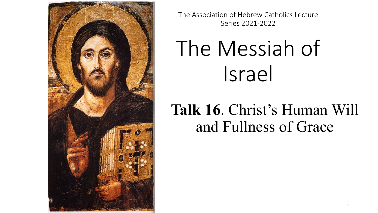

The Association of Hebrew Catholics Lecture Series 2021-2022

# The Messiah of Israel

# **Talk 16**. Christ's Human Will and Fullness of Grace

1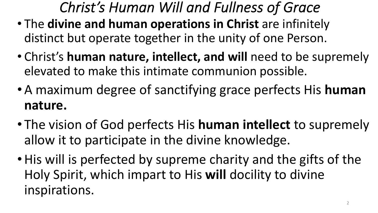- The **divine and human operations in Christ** are infinitely distinct but operate together in the unity of one Person.
- Christ's **human nature, intellect, and will** need to be supremely elevated to make this intimate communion possible.
- A maximum degree of sanctifying grace perfects His **human nature.**
- The vision of God perfects His **human intellect** to supremely allow it to participate in the divine knowledge.
- His will is perfected by supreme charity and the gifts of the Holy Spirit, which impart to His **will** docility to divine inspirations.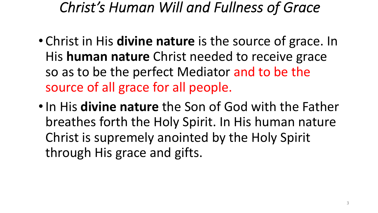- Christ in His **divine nature** is the source of grace. In His **human nature** Christ needed to receive grace so as to be the perfect Mediator and to be the source of all grace for all people.
- •In His **divine nature** the Son of God with the Father breathes forth the Holy Spirit. In His human nature Christ is supremely anointed by the Holy Spirit through His grace and gifts.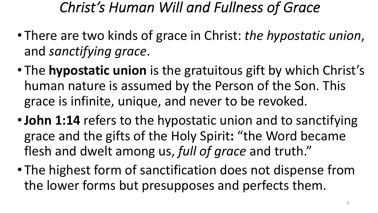- There are two kinds of grace in Christ: *the hypostatic union*, and *sanctifying grace*.
- The **hypostatic union** is the gratuitous gift by which Christ's human nature is assumed by the Person of the Son. This grace is infinite, unique, and never to be revoked.
- •**John 1:14** refers to the hypostatic union and to sanctifying grace and the gifts of the Holy Spirit**:** "the Word became flesh and dwelt among us, *full of grace* and truth."
- The highest form of sanctification does not dispense from the lower forms but presupposes and perfects them.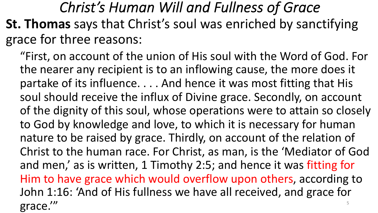*Christ's Human Will and Fullness of Grace* **St. Thomas** says that Christ's soul was enriched by sanctifying grace for three reasons:

"First, on account of the union of His soul with the Word of God. For the nearer any recipient is to an inflowing cause, the more does it partake of its influence. . . . And hence it was most fitting that His soul should receive the influx of Divine grace. Secondly, on account of the dignity of this soul, whose operations were to attain so closely to God by knowledge and love, to which it is necessary for human nature to be raised by grace. Thirdly, on account of the relation of Christ to the human race. For Christ, as man, is the 'Mediator of God and men,' as is written, 1 Timothy 2:5; and hence it was fitting for Him to have grace which would overflow upon others, according to John 1:16: 'And of His fullness we have all received, and grace for  $\mathsf{grace.'''}$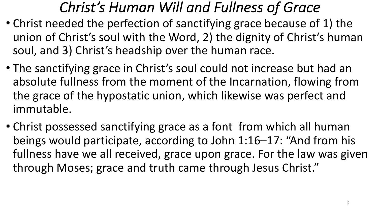- Christ needed the perfection of sanctifying grace because of 1) the union of Christ's soul with the Word, 2) the dignity of Christ's human soul, and 3) Christ's headship over the human race.
- The sanctifying grace in Christ's soul could not increase but had an absolute fullness from the moment of the Incarnation, flowing from the grace of the hypostatic union, which likewise was perfect and immutable.
- Christ possessed sanctifying grace as a font from which all human beings would participate, according to John 1:16–17: "And from his fullness have we all received, grace upon grace. For the law was given through Moses; grace and truth came through Jesus Christ."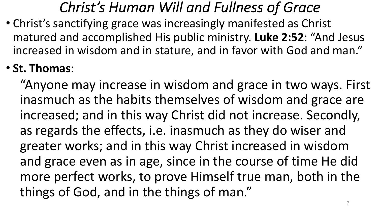• Christ's sanctifying grace was increasingly manifested as Christ matured and accomplished His public ministry. **Luke 2:52**: "And Jesus increased in wisdom and in stature, and in favor with God and man."

#### • **St. Thomas**:

"Anyone may increase in wisdom and grace in two ways. First inasmuch as the habits themselves of wisdom and grace are increased; and in this way Christ did not increase. Secondly, as regards the effects, i.e. inasmuch as they do wiser and greater works; and in this way Christ increased in wisdom and grace even as in age, since in the course of time He did more perfect works, to prove Himself true man, both in the things of God, and in the things of man."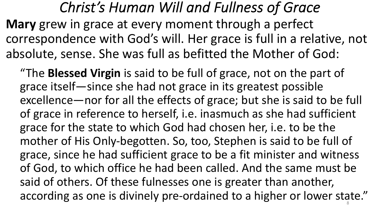*Christ's Human Will and Fullness of Grace* **Mary** grew in grace at every moment through a perfect correspondence with God's will. Her grace is full in a relative, not absolute, sense. She was full as befitted the Mother of God:

"The **Blessed Virgin** is said to be full of grace, not on the part of grace itself—since she had not grace in its greatest possible excellence—nor for all the effects of grace; but she is said to be full of grace in reference to herself, i.e. inasmuch as she had sufficient grace for the state to which God had chosen her, i.e. to be the mother of His Only-begotten. So, too, Stephen is said to be full of grace, since he had sufficient grace to be a fit minister and witness of God, to which office he had been called. And the same must be said of others. Of these fulnesses one is greater than another, according as one is divinely pre-ordained to a higher or lower state."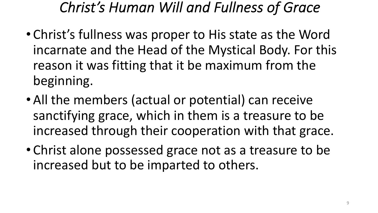- Christ's fullness was proper to His state as the Word incarnate and the Head of the Mystical Body. For this reason it was fitting that it be maximum from the beginning.
- All the members (actual or potential) can receive sanctifying grace, which in them is a treasure to be increased through their cooperation with that grace.
- Christ alone possessed grace not as a treasure to be increased but to be imparted to others.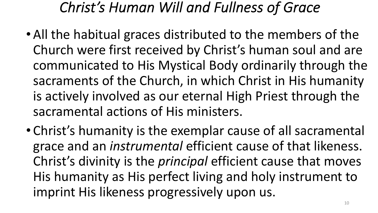- All the habitual graces distributed to the members of the Church were first received by Christ's human soul and are communicated to His Mystical Body ordinarily through the sacraments of the Church, in which Christ in His humanity is actively involved as our eternal High Priest through the sacramental actions of His ministers.
- Christ's humanity is the exemplar cause of all sacramental grace and an *instrumental* efficient cause of that likeness. Christ's divinity is the *principal* efficient cause that moves His humanity as His perfect living and holy instrument to imprint His likeness progressively upon us.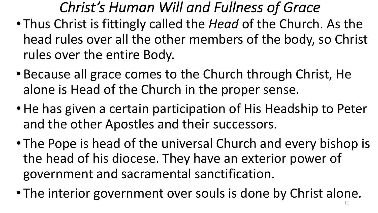- Thus Christ is fittingly called the *Head* of the Church. As the head rules over all the other members of the body, so Christ rules over the entire Body.
- Because all grace comes to the Church through Christ, He alone is Head of the Church in the proper sense.
- •He has given a certain participation of His Headship to Peter and the other Apostles and their successors.
- The Pope is head of the universal Church and every bishop is the head of his diocese. They have an exterior power of government and sacramental sanctification.
- The interior government over souls is done by Christ alone.

11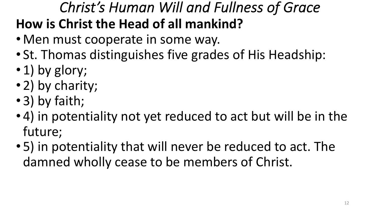# *Christ's Human Will and Fullness of Grace* **How is Christ the Head of all mankind?**

- Men must cooperate in some way.
- St. Thomas distinguishes five grades of His Headship:
- 1) by glory;
- 2) by charity;
- 3) by faith;
- 4) in potentiality not yet reduced to act but will be in the future;
- 5) in potentiality that will never be reduced to act. The damned wholly cease to be members of Christ.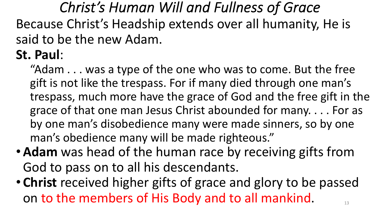*Christ's Human Will and Fullness of Grace* Because Christ's Headship extends over all humanity, He is said to be the new Adam.

#### **St. Paul**:

- "Adam . . . was a type of the one who was to come. But the free gift is not like the trespass. For if many died through one man's trespass, much more have the grace of God and the free gift in the grace of that one man Jesus Christ abounded for many. . . . For as by one man's disobedience many were made sinners, so by one man's obedience many will be made righteous."
- •**Adam** was head of the human race by receiving gifts from God to pass on to all his descendants.
- **Christ** received higher gifts of grace and glory to be passed on to the members of His Body and to all mankind.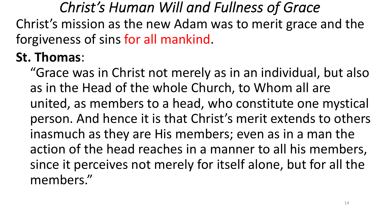*Christ's Human Will and Fullness of Grace* Christ's mission as the new Adam was to merit grace and the forgiveness of sins for all mankind.

# **St. Thomas**:

"Grace was in Christ not merely as in an individual, but also as in the Head of the whole Church, to Whom all are united, as members to a head, who constitute one mystical person. And hence it is that Christ's merit extends to others inasmuch as they are His members; even as in a man the action of the head reaches in a manner to all his members, since it perceives not merely for itself alone, but for all the members."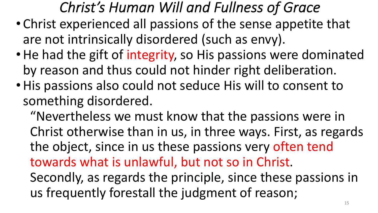*Christ's Human Will and Fullness of Grace*

- Christ experienced all passions of the sense appetite that are not intrinsically disordered (such as envy).
- He had the gift of integrity, so His passions were dominated by reason and thus could not hinder right deliberation.
- •His passions also could not seduce His will to consent to something disordered.

"Nevertheless we must know that the passions were in Christ otherwise than in us, in three ways. First, as regards the object, since in us these passions very often tend towards what is unlawful, but not so in Christ. Secondly, as regards the principle, since these passions in

us frequently forestall the judgment of reason;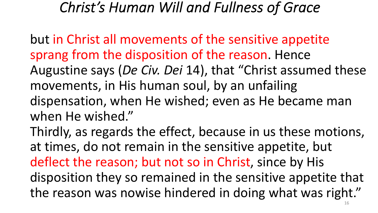but in Christ all movements of the sensitive appetite sprang from the disposition of the reason. Hence Augustine says (*De Civ. Dei* 14), that "Christ assumed these movements, in His human soul, by an unfailing dispensation, when He wished; even as He became man when He wished."

Thirdly, as regards the effect, because in us these motions, at times, do not remain in the sensitive appetite, but deflect the reason; but not so in Christ, since by His disposition they so remained in the sensitive appetite that the reason was nowise hindered in doing what was right."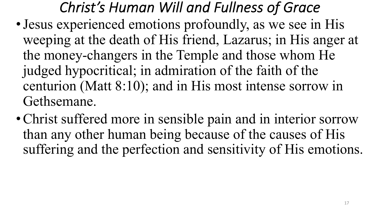- •Jesus experienced emotions profoundly, as we see in His weeping at the death of His friend, Lazarus; in His anger at the money-changers in the Temple and those whom He judged hypocritical; in admiration of the faith of the centurion (Matt 8:10); and in His most intense sorrow in Gethsemane.
- Christ suffered more in sensible pain and in interior sorrow than any other human being because of the causes of His suffering and the perfection and sensitivity of His emotions.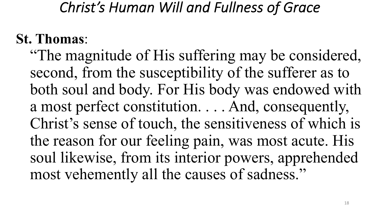# **St. Thomas**:

"The magnitude of His suffering may be considered, second, from the susceptibility of the sufferer as to both soul and body. For His body was endowed with a most perfect constitution. . . . And, consequently, Christ's sense of touch, the sensitiveness of which is the reason for our feeling pain, was most acute. His soul likewise, from its interior powers, apprehended most vehemently all the causes of sadness."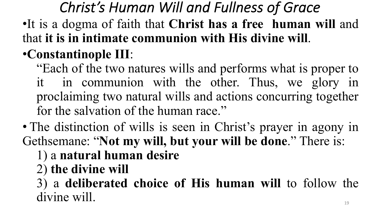•It is a dogma of faith that **Christ has a free human will** and that **it is in intimate communion with His divine will**.

# •**Constantinople III**:

"Each of the two natures wills and performs what is proper to it in communion with the other. Thus, we glory in proclaiming two natural wills and actions concurring together for the salvation of the human race."

- The distinction of wills is seen in Christ's prayer in agony in Gethsemane: "**Not my will, but your will be done**." There is:
	- 1) a **natural human desire**
	- 2) **the divine will**

3) a **deliberated choice of His human will** to follow the divine will.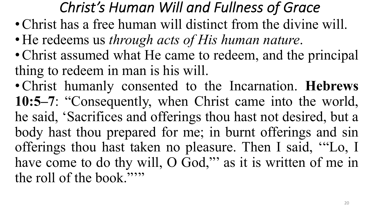- •Christ has a free human will distinct from the divine will.
- He redeems us *through acts of His human nature*.
- •Christ assumed what He came to redeem, and the principal thing to redeem in man is his will.
- •Christ humanly consented to the Incarnation. **Hebrews 10:5–7**: "Consequently, when Christ came into the world, he said, 'Sacrifices and offerings thou hast not desired, but a body hast thou prepared for me; in burnt offerings and sin offerings thou hast taken no pleasure. Then I said, '"Lo, I have come to do thy will, O God," as it is written of me in the roll of the book.""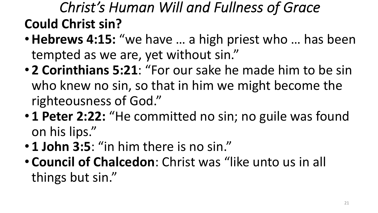*Christ's Human Will and Fullness of Grace* **Could Christ sin?** 

- •**Hebrews 4:15:** "we have … a high priest who … has been tempted as we are, yet without sin."
- **2 Corinthians 5:21**: "For our sake he made him to be sin who knew no sin, so that in him we might become the righteousness of God."
- **1 Peter 2:22:** "He committed no sin; no guile was found on his lips."
- **1 John 3:5**: "in him there is no sin."
- **Council of Chalcedon**: Christ was "like unto us in all things but sin."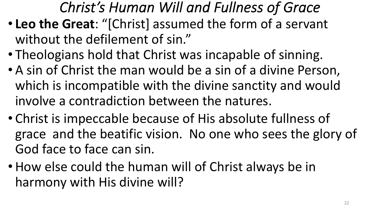- **Leo the Great**: "[Christ] assumed the form of a servant without the defilement of sin."
- Theologians hold that Christ was incapable of sinning.
- A sin of Christ the man would be a sin of a divine Person, which is incompatible with the divine sanctity and would involve a contradiction between the natures.
- Christ is impeccable because of His absolute fullness of grace and the beatific vision. No one who sees the glory of God face to face can sin.
- How else could the human will of Christ always be in harmony with His divine will?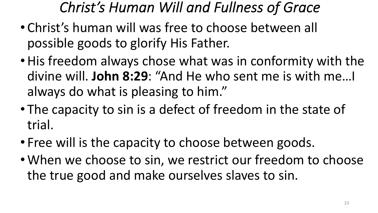- Christ's human will was free to choose between all possible goods to glorify His Father.
- •His freedom always chose what was in conformity with the divine will. **John 8:29**: "And He who sent me is with me…I always do what is pleasing to him."
- The capacity to sin is a defect of freedom in the state of trial.
- Free will is the capacity to choose between goods.
- When we choose to sin, we restrict our freedom to choose the true good and make ourselves slaves to sin.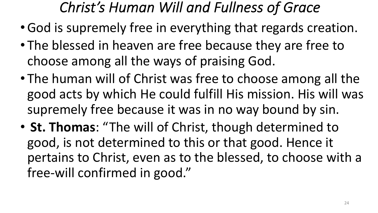- •God is supremely free in everything that regards creation.
- The blessed in heaven are free because they are free to choose among all the ways of praising God.
- The human will of Christ was free to choose among all the good acts by which He could fulfill His mission. His will was supremely free because it was in no way bound by sin.
- **St. Thomas**: "The will of Christ, though determined to good, is not determined to this or that good. Hence it pertains to Christ, even as to the blessed, to choose with a free-will confirmed in good."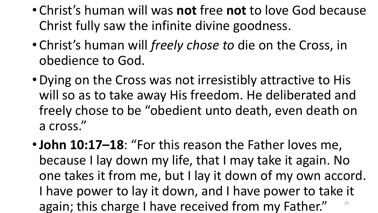- Christ's human will was **not** free **not** to love God because Christ fully saw the infinite divine goodness.
- Christ's human will *freely chose to* die on the Cross, in obedience to God.
- •Dying on the Cross was not irresistibly attractive to His will so as to take away His freedom. He deliberated and freely chose to be "obedient unto death, even death on a cross."
- •**John 10:17–18**: "For this reason the Father loves me, because I lay down my life, that I may take it again. No one takes it from me, but I lay it down of my own accord. I have power to lay it down, and I have power to take it again; this charge I have received from my Father."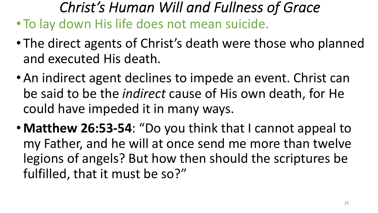- To lay down His life does not mean suicide.
- The direct agents of Christ's death were those who planned and executed His death.
- An indirect agent declines to impede an event. Christ can be said to be the *indirect* cause of His own death, for He could have impeded it in many ways.
- **Matthew 26:53-54**: "Do you think that I cannot appeal to my Father, and he will at once send me more than twelve legions of angels? But how then should the scriptures be fulfilled, that it must be so?"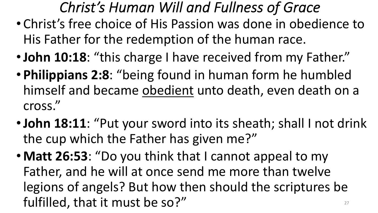- Christ's free choice of His Passion was done in obedience to His Father for the redemption of the human race.
- •**John 10:18**: "this charge I have received from my Father."
- **Philippians 2:8**: "being found in human form he humbled himself and became obedient unto death, even death on a cross."
- •**John 18:11**: "Put your sword into its sheath; shall I not drink the cup which the Father has given me?"
- **Matt 26:53**: "Do you think that I cannot appeal to my Father, and he will at once send me more than twelve legions of angels? But how then should the scriptures be fulfilled, that it must be so?"  $27$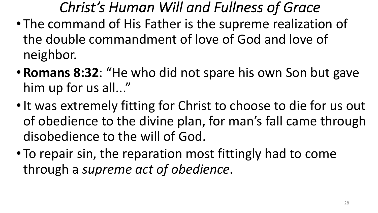- The command of His Father is the supreme realization of the double commandment of love of God and love of neighbor.
- **Romans 8:32**: "He who did not spare his own Son but gave him up for us all..."
- It was extremely fitting for Christ to choose to die for us out of obedience to the divine plan, for man's fall came through disobedience to the will of God.
- To repair sin, the reparation most fittingly had to come through a *supreme act of obedience*.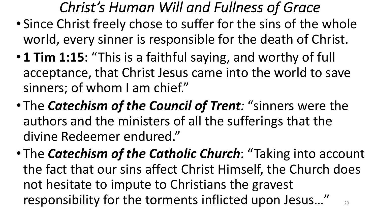- Since Christ freely chose to suffer for the sins of the whole world, every sinner is responsible for the death of Christ.
- **1 Tim 1:15**: "This is a faithful saying, and worthy of full acceptance, that Christ Jesus came into the world to save sinners; of whom I am chief."
- The *Catechism of the Council of Trent:* "sinners were the authors and the ministers of all the sufferings that the divine Redeemer endured."
- The *Catechism of the Catholic Church*: "Taking into account the fact that our sins affect Christ Himself, the Church does not hesitate to impute to Christians the gravest responsibility for the torments inflicted upon Jesus..." 29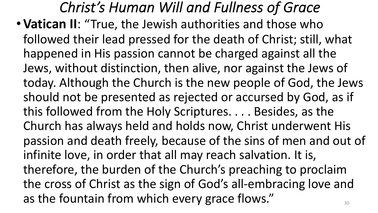• **Vatican II**: "True, the Jewish authorities and those who followed their lead pressed for the death of Christ; still, what happened in His passion cannot be charged against all the Jews, without distinction, then alive, nor against the Jews of today. Although the Church is the new people of God, the Jews should not be presented as rejected or accursed by God, as if this followed from the Holy Scriptures. . . . Besides, as the Church has always held and holds now, Christ underwent His passion and death freely, because of the sins of men and out of infinite love, in order that all may reach salvation. It is, therefore, the burden of the Church's preaching to proclaim the cross of Christ as the sign of God's all-embracing love and as the fountain from which every grace flows."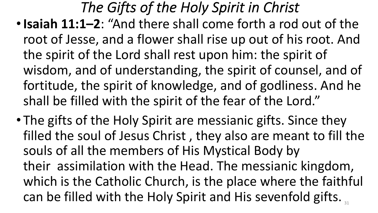- •**Isaiah 11:1–2**: "And there shall come forth a rod out of the root of Jesse, and a flower shall rise up out of his root. And the spirit of the Lord shall rest upon him: the spirit of wisdom, and of understanding, the spirit of counsel, and of fortitude, the spirit of knowledge, and of godliness. And he shall be filled with the spirit of the fear of the Lord."
- The gifts of the Holy Spirit are messianic gifts. Since they filled the soul of Jesus Christ , they also are meant to fill the souls of all the members of His Mystical Body by their assimilation with the Head. The messianic kingdom, which is the Catholic Church, is the place where the faithful can be filled with the Holy Spirit and His sevenfold gifts.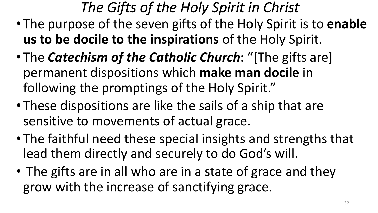- The purpose of the seven gifts of the Holy Spirit is to **enable us to be docile to the inspirations** of the Holy Spirit.
- The *Catechism of the Catholic Church*: "[The gifts are] permanent dispositions which **make man docile** in following the promptings of the Holy Spirit."
- These dispositions are like the sails of a ship that are sensitive to movements of actual grace.
- The faithful need these special insights and strengths that lead them directly and securely to do God's will.
- The gifts are in all who are in a state of grace and they grow with the increase of sanctifying grace.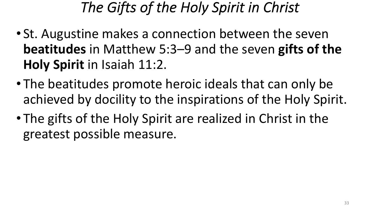- St. Augustine makes a connection between the seven **beatitudes** in Matthew 5:3–9 and the seven **gifts of the Holy Spirit** in Isaiah 11:2.
- The beatitudes promote heroic ideals that can only be achieved by docility to the inspirations of the Holy Spirit.
- The gifts of the Holy Spirit are realized in Christ in the greatest possible measure.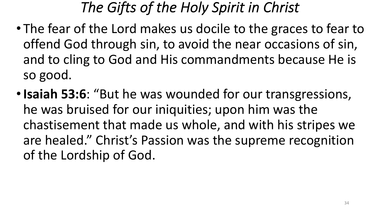- The fear of the Lord makes us docile to the graces to fear to offend God through sin, to avoid the near occasions of sin, and to cling to God and His commandments because He is so good.
- •**Isaiah 53:6**: "But he was wounded for our transgressions, he was bruised for our iniquities; upon him was the chastisement that made us whole, and with his stripes we are healed." Christ's Passion was the supreme recognition of the Lordship of God.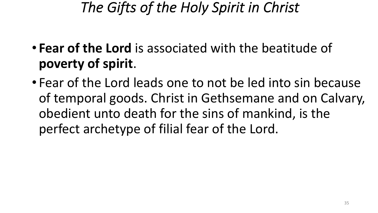- **Fear of the Lord** is associated with the beatitude of **poverty of spirit**.
- Fear of the Lord leads one to not be led into sin because of temporal goods. Christ in Gethsemane and on Calvary, obedient unto death for the sins of mankind, is the perfect archetype of filial fear of the Lord.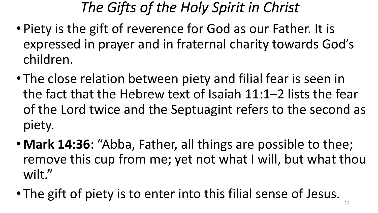- Piety is the gift of reverence for God as our Father. It is expressed in prayer and in fraternal charity towards God's children.
- The close relation between piety and filial fear is seen in the fact that the Hebrew text of Isaiah 11:1–2 lists the fear of the Lord twice and the Septuagint refers to the second as piety.
- **Mark 14:36**: "Abba, Father, all things are possible to thee; remove this cup from me; yet not what I will, but what thou wilt."
- The gift of piety is to enter into this filial sense of Jesus.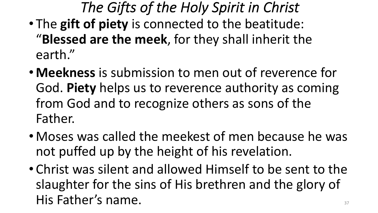- The **gift of piety** is connected to the beatitude: "**Blessed are the meek**, for they shall inherit the earth."
- **Meekness** is submission to men out of reverence for God. **Piety** helps us to reverence authority as coming from God and to recognize others as sons of the Father.
- Moses was called the meekest of men because he was not puffed up by the height of his revelation.
- Christ was silent and allowed Himself to be sent to the slaughter for the sins of His brethren and the glory of His Father's name.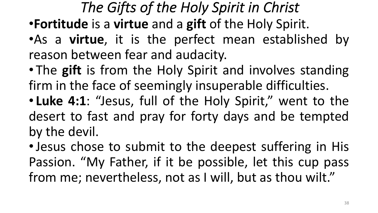- •**Fortitude** is a **virtue** and a **gift** of the Holy Spirit.
- •As a **virtue**, it is the perfect mean established by reason between fear and audacity.
- The **gift** is from the Holy Spirit and involves standing firm in the face of seemingly insuperable difficulties.
- **Luke 4:1**: "Jesus, full of the Holy Spirit," went to the desert to fast and pray for forty days and be tempted by the devil.

•Jesus chose to submit to the deepest suffering in His Passion. "My Father, if it be possible, let this cup pass from me; nevertheless, not as I will, but as thou wilt."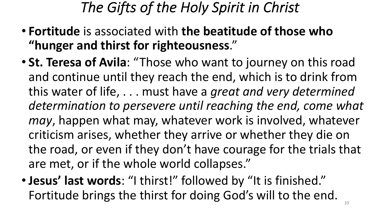- **Fortitude** is associated with **the beatitude of those who "hunger and thirst for righteousness**."
- **St. Teresa of Avila**: "Those who want to journey on this road and continue until they reach the end, which is to drink from this water of life, . . . must have a *great and very determined determination to persevere until reaching the end, come what may*, happen what may, whatever work is involved, whatever criticism arises, whether they arrive or whether they die on the road, or even if they don't have courage for the trials that are met, or if the whole world collapses."
- **Jesus' last words**: "I thirst!" followed by "It is finished." Fortitude brings the thirst for doing God's will to the end.  $\frac{1}{39}$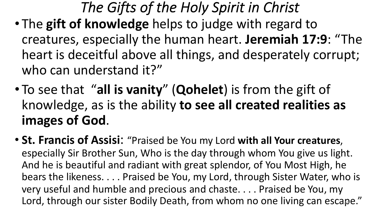- The **gift of knowledge** helps to judge with regard to creatures, especially the human heart. **Jeremiah 17:9**: "The heart is deceitful above all things, and desperately corrupt; who can understand it?"
- To see that "**all is vanity**" (**Qohelet**) is from the gift of knowledge, as is the ability **to see all created realities as images of God**.
- **St. Francis of Assisi**: "Praised be You my Lord **with all Your creatures**, especially Sir Brother Sun, Who is the day through whom You give us light. And he is beautiful and radiant with great splendor, of You Most High, he bears the likeness. . . . Praised be You, my Lord, through Sister Water, who is very useful and humble and precious and chaste. . . . Praised be You, my Lord, through our sister Bodily Death, from whom no one living can escape."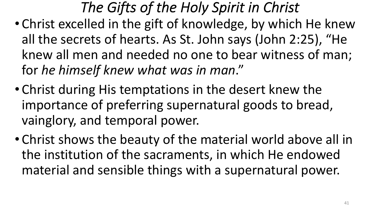- Christ excelled in the gift of knowledge, by which He knew all the secrets of hearts. As St. John says (John 2:25), "He knew all men and needed no one to bear witness of man; for *he himself knew what was in man*."
- Christ during His temptations in the desert knew the importance of preferring supernatural goods to bread, vainglory, and temporal power.
- Christ shows the beauty of the material world above all in the institution of the sacraments, in which He endowed material and sensible things with a supernatural power.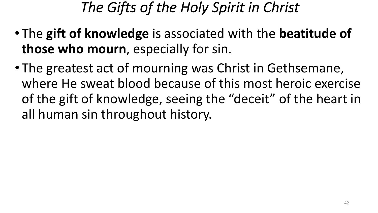- The **gift of knowledge** is associated with the **beatitude of those who mourn**, especially for sin.
- The greatest act of mourning was Christ in Gethsemane, where He sweat blood because of this most heroic exercise of the gift of knowledge, seeing the "deceit" of the heart in all human sin throughout history.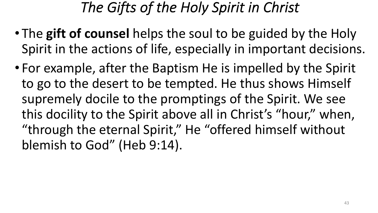- The **gift of counsel** helps the soul to be guided by the Holy Spirit in the actions of life, especially in important decisions.
- For example, after the Baptism He is impelled by the Spirit to go to the desert to be tempted. He thus shows Himself supremely docile to the promptings of the Spirit. We see this docility to the Spirit above all in Christ's "hour," when, "through the eternal Spirit," He "offered himself without blemish to God" (Heb 9:14).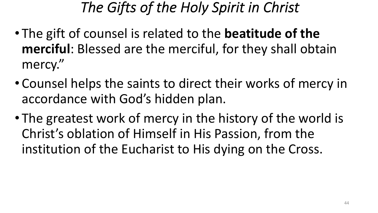- The gift of counsel is related to the **beatitude of the merciful**: Blessed are the merciful, for they shall obtain mercy."
- Counsel helps the saints to direct their works of mercy in accordance with God's hidden plan.
- The greatest work of mercy in the history of the world is Christ's oblation of Himself in His Passion, from the institution of the Eucharist to His dying on the Cross.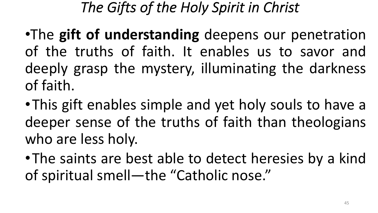- •The **gift of understanding** deepens our penetration of the truths of faith. It enables us to savor and deeply grasp the mystery, illuminating the darkness of faith.
- •This gift enables simple and yet holy souls to have a deeper sense of the truths of faith than theologians who are less holy.
- •The saints are best able to detect heresies by a kind of spiritual smell—the "Catholic nose."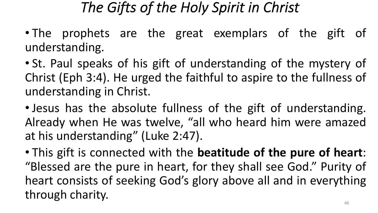- The prophets are the great exemplars of the gift of understanding.
- St. Paul speaks of his gift of understanding of the mystery of Christ (Eph 3:4). He urged the faithful to aspire to the fullness of understanding in Christ.
- Jesus has the absolute fullness of the gift of understanding. Already when He was twelve, "all who heard him were amazed at his understanding" (Luke 2:47).
- This gift is connected with the **beatitude of the pure of heart**: "Blessed are the pure in heart, for they shall see God." Purity of heart consists of seeking God's glory above all and in everything through charity.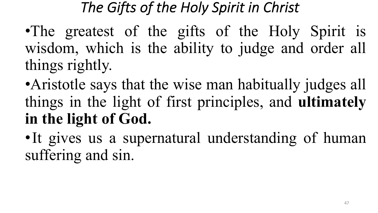•The greatest of the gifts of the Holy Spirit is wisdom, which is the ability to judge and order all things rightly.

• Aristotle says that the wise man habitually judges all things in the light of first principles, and **ultimately in the light of God.**

•It gives us a supernatural understanding of human suffering and sin.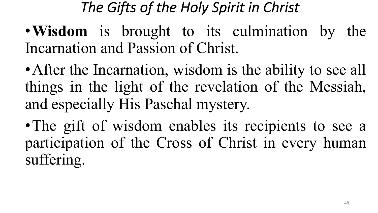- •**Wisdom** is brought to its culmination by the Incarnation and Passion of Christ.
- After the Incarnation, wisdom is the ability to see all things in the light of the revelation of the Messiah, and especially His Paschal mystery.
- •The gift of wisdom enables its recipients to see a participation of the Cross of Christ in every human suffering.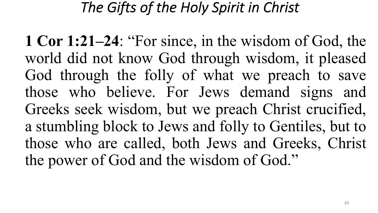**1 Cor 1:21–24**: "For since, in the wisdom of God, the world did not know God through wisdom, it pleased God through the folly of what we preach to save those who believe. For Jews demand signs and Greeks seek wisdom, but we preach Christ crucified, a stumbling block to Jews and folly to Gentiles, but to those who are called, both Jews and Greeks, Christ the power of God and the wisdom of God."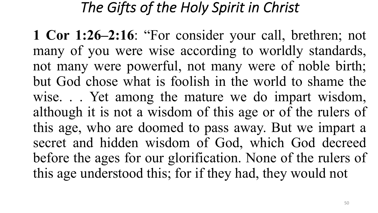**1 Cor 1:26–2:16**: "For consider your call, brethren; not many of you were wise according to worldly standards, not many were powerful, not many were of noble birth; but God chose what is foolish in the world to shame the wise. . . Yet among the mature we do impart wisdom, although it is not a wisdom of this age or of the rulers of this age, who are doomed to pass away. But we impart a secret and hidden wisdom of God, which God decreed before the ages for our glorification. None of the rulers of this age understood this; for if they had, they would not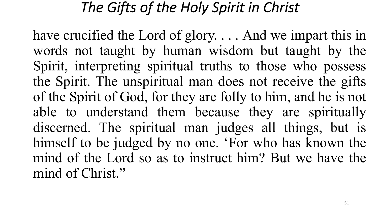have crucified the Lord of glory. . . . And we impart this in words not taught by human wisdom but taught by the Spirit, interpreting spiritual truths to those who possess the Spirit. The unspiritual man does not receive the gifts of the Spirit of God, for they are folly to him, and he is not able to understand them because they are spiritually discerned. The spiritual man judges all things, but is himself to be judged by no one. 'For who has known the mind of the Lord so as to instruct him? But we have the mind of Christ."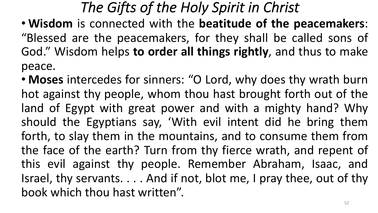- **Wisdom** is connected with the **beatitude of the peacemakers**: "Blessed are the peacemakers, for they shall be called sons of God." Wisdom helps **to order all things rightly**, and thus to make peace.
- **Moses** intercedes for sinners: "O Lord, why does thy wrath burn hot against thy people, whom thou hast brought forth out of the land of Egypt with great power and with a mighty hand? Why should the Egyptians say, 'With evil intent did he bring them forth, to slay them in the mountains, and to consume them from the face of the earth? Turn from thy fierce wrath, and repent of this evil against thy people. Remember Abraham, Isaac, and Israel, thy servants. . . . And if not, blot me, I pray thee, out of thy book which thou hast written".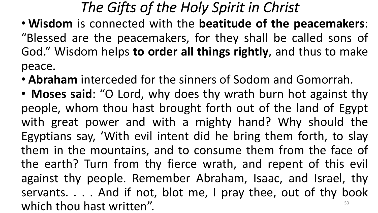- **Wisdom** is connected with the **beatitude of the peacemakers**: "Blessed are the peacemakers, for they shall be called sons of God." Wisdom helps **to order all things rightly**, and thus to make peace.
- **Abraham** interceded for the sinners of Sodom and Gomorrah.
- **Moses said**: "O Lord, why does thy wrath burn hot against thy people, whom thou hast brought forth out of the land of Egypt with great power and with a mighty hand? Why should the Egyptians say, 'With evil intent did he bring them forth, to slay them in the mountains, and to consume them from the face of the earth? Turn from thy fierce wrath, and repent of this evil against thy people. Remember Abraham, Isaac, and Israel, thy servants. . . . And if not, blot me, I pray thee, out of thy book which thou hast written".  $\blacksquare$